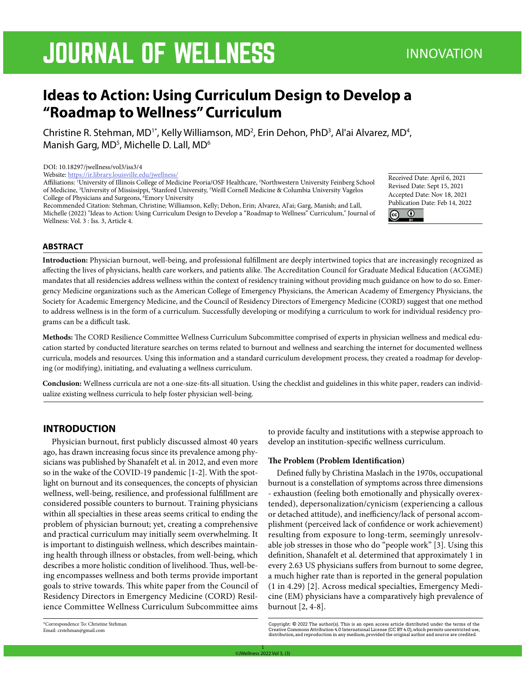# **JOURNAL OF WELLNESS**

## **Ideas to Action: Using Curriculum Design to Develop a "Roadmap to Wellness" Curriculum**

Christine R. Stehman, MD<sup>1\*</sup>, Kelly Williamson, MD<sup>2</sup>, Erin Dehon, PhD<sup>3</sup>, Al'ai Alvarez, MD<sup>4</sup>, Manish Garg, MD<sup>5</sup>, Michelle D. Lall, MD<sup>6</sup>

#### DOI: 10.18297/jwellness/vol3/iss3/4

Website: https://ir.library.louisville.edu/jwellness/

Affiliations: 1 University of Illinois College of Medicine Peoria/OSF Healthcare, 2 Northwestern University Feinberg School of Medicine, <sup>3</sup>University of Mississippi, <sup>4</sup>Stanford University, <sup>5</sup>Weill Cornell Medicine & Columbia University Vagelos College of Physicians and Surgeons, <sup>6</sup>Emory University

Recommended Citation: Stehman, Christine; Williamson, Kelly; Dehon, Erin; Alvarez, Al'ai; Garg, Manish; and Lall, Michelle (2022) "Ideas to Action: Using Curriculum Design to Develop a "Roadmap to Wellness" Curriculum," Journal of Wellness: Vol. 3 : Iss. 3, Article 4.

Received Date: April 6, 2021 Revised Date: Sept 15, 2021 Accepted Date: Nov 18, 2021 Publication Date: Feb 14, 2022  $\odot$ 



**Introduction:** Physician burnout, well-being, and professional fulfillment are deeply intertwined topics that are increasingly recognized as affecting the lives of physicians, health care workers, and patients alike. The Accreditation Council for Graduate Medical Education (ACGME) mandates that all residencies address wellness within the context of residency training without providing much guidance on how to do so. Emergency Medicine organizations such as the American College of Emergency Physicians, the American Academy of Emergency Physicians, the Society for Academic Emergency Medicine, and the Council of Residency Directors of Emergency Medicine (CORD) suggest that one method to address wellness is in the form of a curriculum. Successfully developing or modifying a curriculum to work for individual residency programs can be a difficult task.

**Methods:** The CORD Resilience Committee Wellness Curriculum Subcommittee comprised of experts in physician wellness and medical education started by conducted literature searches on terms related to burnout and wellness and searching the internet for documented wellness curricula, models and resources. Using this information and a standard curriculum development process, they created a roadmap for developing (or modifying), initiating, and evaluating a wellness curriculum.

**Conclusion:** Wellness curricula are not a one-size-fits-all situation. Using the checklist and guidelines in this white paper, readers can individualize existing wellness curricula to help foster physician well-being.

## **INTRODUCTION**

Physician burnout, first publicly discussed almost 40 years ago, has drawn increasing focus since its prevalence among physicians was published by Shanafelt et al. in 2012, and even more so in the wake of the COVID-19 pandemic [1-2]. With the spotlight on burnout and its consequences, the concepts of physician wellness, well-being, resilience, and professional fulfillment are considered possible counters to burnout. Training physicians within all specialties in these areas seems critical to ending the problem of physician burnout; yet, creating a comprehensive and practical curriculum may initially seem overwhelming. It is important to distinguish wellness, which describes maintaining health through illness or obstacles, from well-being, which describes a more holistic condition of livelihood. Thus, well-being encompasses wellness and both terms provide important goals to strive towards. This white paper from the Council of Residency Directors in Emergency Medicine (CORD) Resilience Committee Wellness Curriculum Subcommittee aims to provide faculty and institutions with a stepwise approach to develop an institution-specific wellness curriculum.

## **The Problem (Problem Identification)**

Defined fully by Christina Maslach in the 1970s, occupational burnout is a constellation of symptoms across three dimensions - exhaustion (feeling both emotionally and physically overextended), depersonalization/cynicism (experiencing a callous or detached attitude), and inefficiency/lack of personal accomplishment (perceived lack of confidence or work achievement) resulting from exposure to long-term, seemingly unresolvable job stresses in those who do "people work" [3]. Using this definition, Shanafelt et al. determined that approximately 1 in every 2.63 US physicians suffers from burnout to some degree, a much higher rate than is reported in the general population (1 in 4.29) [2]. Across medical specialties, Emergency Medicine (EM) physicians have a comparatively high prevalence of burnout [2, 4-8].

<sup>\*</sup>Correspondence To: Christine Stehman Email: crstehman@gmail.com

Copyright: © 2022 The author(s). This is an open access article distributed under the terms of the<br>Creative Commons Attribution 4.0 International License (CC BY 4.0), which permits unrestricted use,<br>distribution,and repro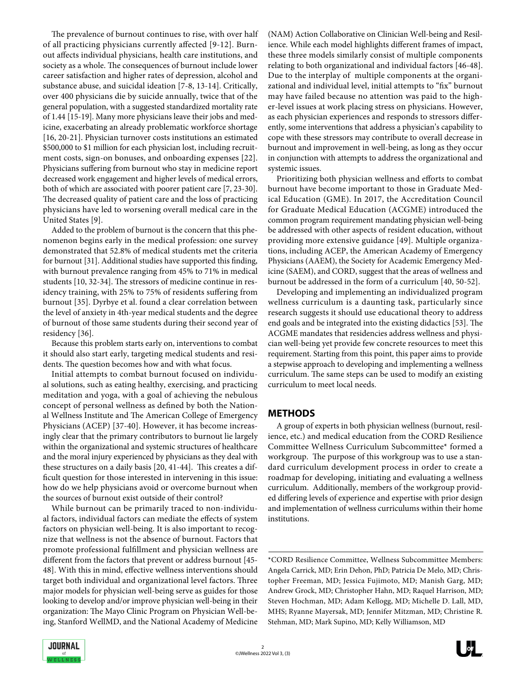The prevalence of burnout continues to rise, with over half of all practicing physicians currently affected [9-12]. Burnout affects individual physicians, health care institutions, and society as a whole. The consequences of burnout include lower career satisfaction and higher rates of depression, alcohol and substance abuse, and suicidal ideation [7-8, 13-14]. Critically, over 400 physicians die by suicide annually, twice that of the general population, with a suggested standardized mortality rate of 1.44 [15-19]. Many more physicians leave their jobs and medicine, exacerbating an already problematic workforce shortage [16, 20-21]. Physician turnover costs institutions an estimated \$500,000 to \$1 million for each physician lost, including recruitment costs, sign-on bonuses, and onboarding expenses [22]. Physicians suffering from burnout who stay in medicine report decreased work engagement and higher levels of medical errors, both of which are associated with poorer patient care [7, 23-30]. The decreased quality of patient care and the loss of practicing physicians have led to worsening overall medical care in the United States [9].

Added to the problem of burnout is the concern that this phenomenon begins early in the medical profession: one survey demonstrated that 52.8% of medical students met the criteria for burnout [31]. Additional studies have supported this finding, with burnout prevalence ranging from 45% to 71% in medical students [10, 32-34]. The stressors of medicine continue in residency training, with 25% to 75% of residents suffering from burnout [35]. Dyrbye et al. found a clear correlation between the level of anxiety in 4th-year medical students and the degree of burnout of those same students during their second year of residency [36].

Because this problem starts early on, interventions to combat it should also start early, targeting medical students and residents. The question becomes how and with what focus.

Initial attempts to combat burnout focused on individual solutions, such as eating healthy, exercising, and practicing meditation and yoga, with a goal of achieving the nebulous concept of personal wellness as defined by both the National Wellness Institute and The American College of Emergency Physicians (ACEP) [37-40]. However, it has become increasingly clear that the primary contributors to burnout lie largely within the organizational and systemic structures of healthcare and the moral injury experienced by physicians as they deal with these structures on a daily basis [20, 41-44]. This creates a difficult question for those interested in intervening in this issue: how do we help physicians avoid or overcome burnout when the sources of burnout exist outside of their control?

While burnout can be primarily traced to non-individual factors, individual factors can mediate the effects of system factors on physician well-being. It is also important to recognize that wellness is not the absence of burnout. Factors that promote professional fulfillment and physician wellness are different from the factors that prevent or address burnout [45- 48]. With this in mind, effective wellness interventions should target both individual and organizational level factors. Three major models for physician well-being serve as guides for those looking to develop and/or improve physician well-being in their organization: The Mayo Clinic Program on Physician Well-being, Stanford WellMD, and the National Academy of Medicine

(NAM) Action Collaborative on Clinician Well-being and Resilience. While each model highlights different frames of impact, these three models similarly consist of multiple components relating to both organizational and individual factors [46-48]. Due to the interplay of multiple components at the organizational and individual level, initial attempts to "fix" burnout may have failed because no attention was paid to the higher-level issues at work placing stress on physicians. However, as each physician experiences and responds to stressors differently, some interventions that address a physician's capability to cope with these stressors may contribute to overall decrease in burnout and improvement in well-being, as long as they occur in conjunction with attempts to address the organizational and systemic issues.

Prioritizing both physician wellness and efforts to combat burnout have become important to those in Graduate Medical Education (GME). In 2017, the Accreditation Council for Graduate Medical Education (ACGME) introduced the common program requirement mandating physician well-being be addressed with other aspects of resident education, without providing more extensive guidance [49]. Multiple organizations, including ACEP, the American Academy of Emergency Physicians (AAEM), the Society for Academic Emergency Medicine (SAEM), and CORD, suggest that the areas of wellness and burnout be addressed in the form of a curriculum [40, 50-52].

Developing and implementing an individualized program wellness curriculum is a daunting task, particularly since research suggests it should use educational theory to address end goals and be integrated into the existing didactics [53]. The ACGME mandates that residencies address wellness and physician well-being yet provide few concrete resources to meet this requirement. Starting from this point, this paper aims to provide a stepwise approach to developing and implementing a wellness curriculum. The same steps can be used to modify an existing curriculum to meet local needs.

## **METHODS**

A group of experts in both physician wellness (burnout, resilience, etc.) and medical education from the CORD Resilience Committee Wellness Curriculum Subcommittee\* formed a workgroup. The purpose of this workgroup was to use a standard curriculum development process in order to create a roadmap for developing, initiating and evaluating a wellness curriculum. Additionally, members of the workgroup provided differing levels of experience and expertise with prior design and implementation of wellness curriculums within their home institutions.

\*CORD Resilience Committee, Wellness Subcommittee Members: Angela Carrick, MD; Erin Dehon, PhD; Patricia De Melo, MD; Christopher Freeman, MD; Jessica Fujimoto, MD; Manish Garg, MD; Andrew Grock, MD; Christopher Hahn, MD; Raquel Harrison, MD; Steven Hochman, MD; Adam Kellogg, MD; Michelle D. Lall, MD, MHS; Ryanne Mayersak, MD; Jennifer Mitzman, MD; Christine R. Stehman, MD; Mark Supino, MD; Kelly Williamson, MD

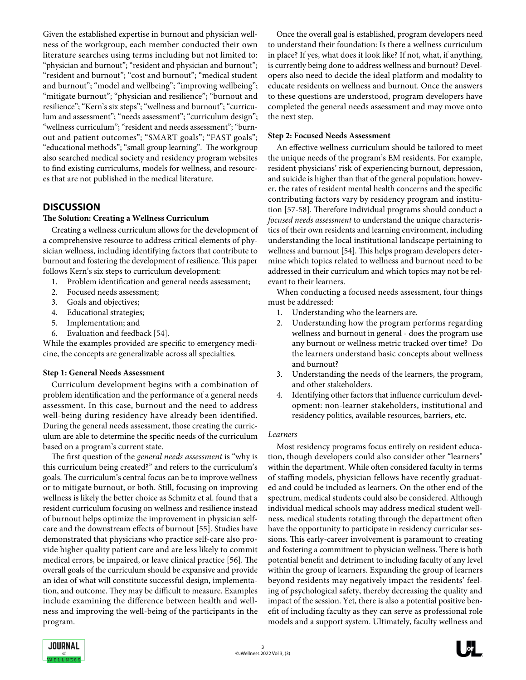Given the established expertise in burnout and physician wellness of the workgroup, each member conducted their own literature searches using terms including but not limited to: "physician and burnout"; "resident and physician and burnout"; "resident and burnout"; "cost and burnout"; "medical student and burnout"; "model and wellbeing"; "improving wellbeing"; "mitigate burnout"; "physician and resilience"; "burnout and resilience"; "Kern's six steps"; "wellness and burnout"; "curriculum and assessment"; "needs assessment"; "curriculum design"; "wellness curriculum"; "resident and needs assessment"; "burnout and patient outcomes"; "SMART goals"; "FAST goals"; "educational methods"; "small group learning". The workgroup also searched medical society and residency program websites to find existing curriculums, models for wellness, and resources that are not published in the medical literature.

## **DISCUSSION**

## **The Solution: Creating a Wellness Curriculum**

Creating a wellness curriculum allows for the development of a comprehensive resource to address critical elements of physician wellness, including identifying factors that contribute to burnout and fostering the development of resilience. This paper follows Kern's six steps to curriculum development:

- 1. Problem identification and general needs assessment;
- 2. Focused needs assessment;
- 3. Goals and objectives;
- 4. Educational strategies;
- 5. Implementation; and
- 6. Evaluation and feedback [54].

While the examples provided are specific to emergency medicine, the concepts are generalizable across all specialties.

## **Step 1: General Needs Assessment**

Curriculum development begins with a combination of problem identification and the performance of a general needs assessment. In this case, burnout and the need to address well-being during residency have already been identified. During the general needs assessment, those creating the curriculum are able to determine the specific needs of the curriculum based on a program's current state.

The first question of the *general needs assessment* is "why is this curriculum being created?" and refers to the curriculum's goals. The curriculum's central focus can be to improve wellness or to mitigate burnout, or both. Still, focusing on improving wellness is likely the better choice as Schmitz et al. found that a resident curriculum focusing on wellness and resilience instead of burnout helps optimize the improvement in physician selfcare and the downstream effects of burnout [55]. Studies have demonstrated that physicians who practice self-care also provide higher quality patient care and are less likely to commit medical errors, be impaired, or leave clinical practice [56]. The overall goals of the curriculum should be expansive and provide an idea of what will constitute successful design, implementation, and outcome. They may be difficult to measure. Examples include examining the difference between health and wellness and improving the well-being of the participants in the program.

Once the overall goal is established, program developers need to understand their foundation: Is there a wellness curriculum in place? If yes, what does it look like? If not, what, if anything, is currently being done to address wellness and burnout? Developers also need to decide the ideal platform and modality to educate residents on wellness and burnout. Once the answers to these questions are understood, program developers have completed the general needs assessment and may move onto the next step.

## **Step 2: Focused Needs Assessment**

An effective wellness curriculum should be tailored to meet the unique needs of the program's EM residents. For example, resident physicians' risk of experiencing burnout, depression, and suicide is higher than that of the general population; however, the rates of resident mental health concerns and the specific contributing factors vary by residency program and institution [57-58]. Therefore individual programs should conduct a *focused needs assessment* to understand the unique characteristics of their own residents and learning environment, including understanding the local institutional landscape pertaining to wellness and burnout [54]. This helps program developers determine which topics related to wellness and burnout need to be addressed in their curriculum and which topics may not be relevant to their learners.

When conducting a focused needs assessment, four things must be addressed:

- 1. Understanding who the learners are.
- 2. Understanding how the program performs regarding wellness and burnout in general - does the program use any burnout or wellness metric tracked over time? Do the learners understand basic concepts about wellness and burnout?
- 3. Understanding the needs of the learners, the program, and other stakeholders.
- 4. Identifying other factors that influence curriculum development: non-learner stakeholders, institutional and residency politics, available resources, barriers, etc.

## *Learners*

Most residency programs focus entirely on resident education, though developers could also consider other "learners'' within the department. While often considered faculty in terms of staffing models, physician fellows have recently graduated and could be included as learners. On the other end of the spectrum, medical students could also be considered. Although individual medical schools may address medical student wellness, medical students rotating through the department often have the opportunity to participate in residency curricular sessions. This early-career involvement is paramount to creating and fostering a commitment to physician wellness. There is both potential benefit and detriment to including faculty of any level within the group of learners. Expanding the group of learners beyond residents may negatively impact the residents' feeling of psychological safety, thereby decreasing the quality and impact of the session. Yet, there is also a potential positive benefit of including faculty as they can serve as professional role models and a support system. Ultimately, faculty wellness and

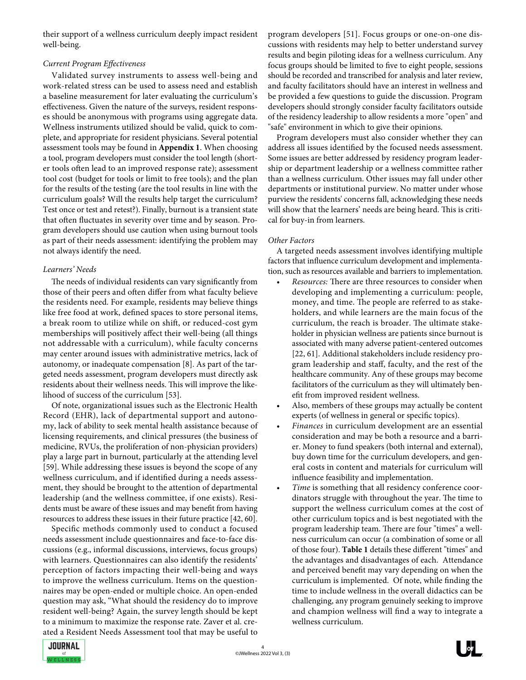their support of a wellness curriculum deeply impact resident well-being.

## *Current Program Effectiveness*

Validated survey instruments to assess well-being and work-related stress can be used to assess need and establish a baseline measurement for later evaluating the curriculum's effectiveness. Given the nature of the surveys, resident responses should be anonymous with programs using aggregate data. Wellness instruments utilized should be valid, quick to complete, and appropriate for resident physicians. Several potential assessment tools may be found in **Appendix 1**. When choosing a tool, program developers must consider the tool length (shorter tools often lead to an improved response rate); assessment tool cost (budget for tools or limit to free tools); and the plan for the results of the testing (are the tool results in line with the curriculum goals? Will the results help target the curriculum? Test once or test and retest?). Finally, burnout is a transient state that often fluctuates in severity over time and by season. Program developers should use caution when using burnout tools as part of their needs assessment: identifying the problem may not always identify the need.

## *Learners' Needs*

The needs of individual residents can vary significantly from those of their peers and often differ from what faculty believe the residents need. For example, residents may believe things like free food at work, defined spaces to store personal items, a break room to utilize while on shift, or reduced-cost gym memberships will positively affect their well-being (all things not addressable with a curriculum), while faculty concerns may center around issues with administrative metrics, lack of autonomy, or inadequate compensation [8]. As part of the targeted needs assessment, program developers must directly ask residents about their wellness needs. This will improve the likelihood of success of the curriculum [53].

Of note, organizational issues such as the Electronic Health Record (EHR), lack of departmental support and autonomy, lack of ability to seek mental health assistance because of licensing requirements, and clinical pressures (the business of medicine, RVUs, the proliferation of non-physician providers) play a large part in burnout, particularly at the attending level [59]. While addressing these issues is beyond the scope of any wellness curriculum, and if identified during a needs assessment, they should be brought to the attention of departmental leadership (and the wellness committee, if one exists). Residents must be aware of these issues and may benefit from having resources to address these issues in their future practice [42, 60].

Specific methods commonly used to conduct a focused needs assessment include questionnaires and face-to-face discussions (e.g., informal discussions, interviews, focus groups) with learners. Questionnaires can also identify the residents' perception of factors impacting their well-being and ways to improve the wellness curriculum. Items on the questionnaires may be open-ended or multiple choice. An open-ended question may ask, "What should the residency do to improve resident well-being? Again, the survey length should be kept to a minimum to maximize the response rate. Zaver et al. created a Resident Needs Assessment tool that may be useful to

program developers [51]. Focus groups or one-on-one discussions with residents may help to better understand survey results and begin piloting ideas for a wellness curriculum. Any focus groups should be limited to five to eight people, sessions should be recorded and transcribed for analysis and later review, and faculty facilitators should have an interest in wellness and be provided a few questions to guide the discussion. Program developers should strongly consider faculty facilitators outside of the residency leadership to allow residents a more "open" and "safe" environment in which to give their opinions.

Program developers must also consider whether they can address all issues identified by the focused needs assessment. Some issues are better addressed by residency program leadership or department leadership or a wellness committee rather than a wellness curriculum. Other issues may fall under other departments or institutional purview. No matter under whose purview the residents' concerns fall, acknowledging these needs will show that the learners' needs are being heard. This is critical for buy-in from learners.

## *Other Factors*

A targeted needs assessment involves identifying multiple factors that influence curriculum development and implementation, such as resources available and barriers to implementation.

- *• Resources:* There are three resources to consider when developing and implementing a curriculum: people, money, and time. The people are referred to as stakeholders, and while learners are the main focus of the curriculum, the reach is broader. The ultimate stakeholder in physician wellness are patients since burnout is associated with many adverse patient-centered outcomes [22, 61]. Additional stakeholders include residency program leadership and staff, faculty, and the rest of the healthcare community. Any of these groups may become facilitators of the curriculum as they will ultimately benefit from improved resident wellness.
- Also, members of these groups may actually be content experts (of wellness in general or specific topics).
- *• Finances* in curriculum development are an essential consideration and may be both a resource and a barrier. Money to fund speakers (both internal and external), buy down time for the curriculum developers, and general costs in content and materials for curriculum will influence feasibility and implementation.
- *• Time* is something that all residency conference coordinators struggle with throughout the year. The time to support the wellness curriculum comes at the cost of other curriculum topics and is best negotiated with the program leadership team. There are four "times" a wellness curriculum can occur (a combination of some or all of those four). **Table 1** details these different "times" and the advantages and disadvantages of each. Attendance and perceived benefit may vary depending on when the curriculum is implemented. Of note, while finding the time to include wellness in the overall didactics can be challenging, any program genuinely seeking to improve and champion wellness will find a way to integrate a wellness curriculum.

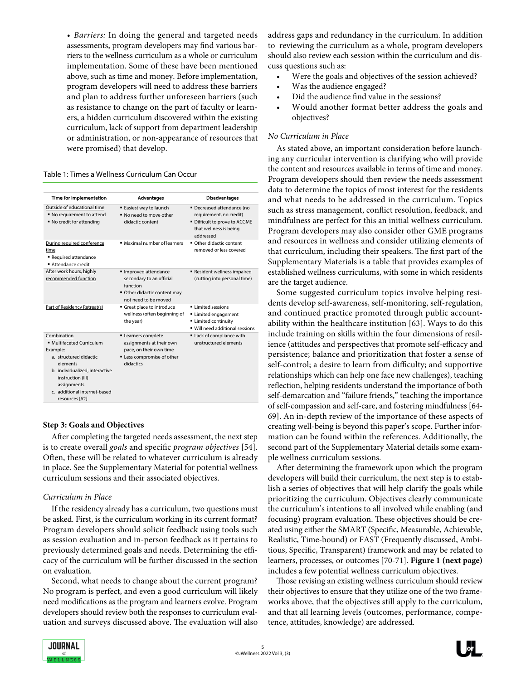*• Barriers:* In doing the general and targeted needs assessments, program developers may find various barriers to the wellness curriculum as a whole or curriculum implementation. Some of these have been mentioned above, such as time and money. Before implementation, program developers will need to address these barriers and plan to address further unforeseen barriers (such as resistance to change on the part of faculty or learners, a hidden curriculum discovered within the existing curriculum, lack of support from department leadership or administration, or non-appearance of resources that were promised) that develop.

Table 1: Times a Wellness Curriculum Can Occur

| Time for Implementation                                                                                                                                                                                            | <b>Advantages</b>                                                                                                     | <b>Disadvantages</b>                                                                                                          |
|--------------------------------------------------------------------------------------------------------------------------------------------------------------------------------------------------------------------|-----------------------------------------------------------------------------------------------------------------------|-------------------------------------------------------------------------------------------------------------------------------|
| Outside of educational time<br>No requirement to attend<br>■ No credit for attending                                                                                                                               | ■ Easiest way to launch<br>No need to move other<br>didactic content                                                  | • Decreased attendance (no<br>requirement, no credit)<br>• Difficult to prove to ACGME<br>that wellness is being<br>hezzenbbs |
| During required conference<br>time<br>Required attendance<br>Attendance credit                                                                                                                                     | • Maximal number of learners                                                                                          | Other didactic content<br>removed or less covered                                                                             |
| After work hours, highly<br>recommended function                                                                                                                                                                   | Improved attendance<br>secondary to an official<br>function<br>Other didactic content may<br>not need to be moved     | Resident wellness impaired<br>(cutting into personal time)                                                                    |
| Part of Residency Retreat(s)                                                                                                                                                                                       | Great place to introduce<br>wellness (often beginning of<br>the year)                                                 | <b>Elimited sessions</b><br>Limited engagement<br><b>Elmited continuity</b><br>Will need additional sessions                  |
| Combination<br>· Multifaceted Curriculum<br>Example:<br>a. structured didactic<br>elements<br>b. individualized, interactive<br>instruction (III)<br>assignments<br>c. additional internet-based<br>resources [62] | " Learners complete<br>assignments at their own<br>pace, on their own time<br>" Less compromise of other<br>didactics | Lack of compliance with<br>unstructured elements                                                                              |

## **Step 3: Goals and Objectives**

After completing the targeted needs assessment, the next step is to create overall *goals* and specific *program objectives* [54]. Often, these will be related to whatever curriculum is already in place. See the Supplementary Material for potential wellness curriculum sessions and their associated objectives.

## *Curriculum in Place*

If the residency already has a curriculum, two questions must be asked. First, is the curriculum working in its current format? Program developers should solicit feedback using tools such as session evaluation and in-person feedback as it pertains to previously determined goals and needs. Determining the efficacy of the curriculum will be further discussed in the section on evaluation.

Second, what needs to change about the current program? No program is perfect, and even a good curriculum will likely need modifications as the program and learners evolve. Program developers should review both the responses to curriculum evaluation and surveys discussed above. The evaluation will also

address gaps and redundancy in the curriculum. In addition to reviewing the curriculum as a whole, program developers should also review each session within the curriculum and discuss questions such as:

- Were the goals and objectives of the session achieved?
- Was the audience engaged?
- Did the audience find value in the sessions?
- Would another format better address the goals and objectives?

## *No Curriculum in Place*

As stated above, an important consideration before launching any curricular intervention is clarifying who will provide the content and resources available in terms of time and money. Program developers should then review the needs assessment data to determine the topics of most interest for the residents and what needs to be addressed in the curriculum. Topics such as stress management, conflict resolution, feedback, and mindfulness are perfect for this an initial wellness curriculum. Program developers may also consider other GME programs and resources in wellness and consider utilizing elements of that curriculum, including their speakers. The first part of the Supplementary Materials is a table that provides examples of established wellness curriculums, with some in which residents are the target audience.

Some suggested curriculum topics involve helping residents develop self-awareness, self-monitoring, self-regulation, and continued practice promoted through public accountability within the healthcare institution [63]. Ways to do this include training on skills within the four dimensions of resilience (attitudes and perspectives that promote self-efficacy and persistence; balance and prioritization that foster a sense of self-control; a desire to learn from difficulty; and supportive relationships which can help one face new challenges), teaching reflection, helping residents understand the importance of both self-demarcation and "failure friends," teaching the importance of self-compassion and self-care, and fostering mindfulness [64- 69]. An in-depth review of the importance of these aspects of creating well-being is beyond this paper's scope. Further information can be found within the references. Additionally, the second part of the Supplementary Material details some example wellness curriculum sessions.

After determining the framework upon which the program developers will build their curriculum, the next step is to establish a series of objectives that will help clarify the goals while prioritizing the curriculum. Objectives clearly communicate the curriculum's intentions to all involved while enabling (and focusing) program evaluation. These objectives should be created using either the SMART (Specific, Measurable, Achievable, Realistic, Time-bound) or FAST (Frequently discussed, Ambitious, Specific, Transparent) framework and may be related to learners, processes, or outcomes [70-71]. **Figure 1 (next page)** includes a few potential wellness curriculum objectives.

Those revising an existing wellness curriculum should review their objectives to ensure that they utilize one of the two frameworks above, that the objectives still apply to the curriculum, and that all learning levels (outcomes, performance, competence, attitudes, knowledge) are addressed.

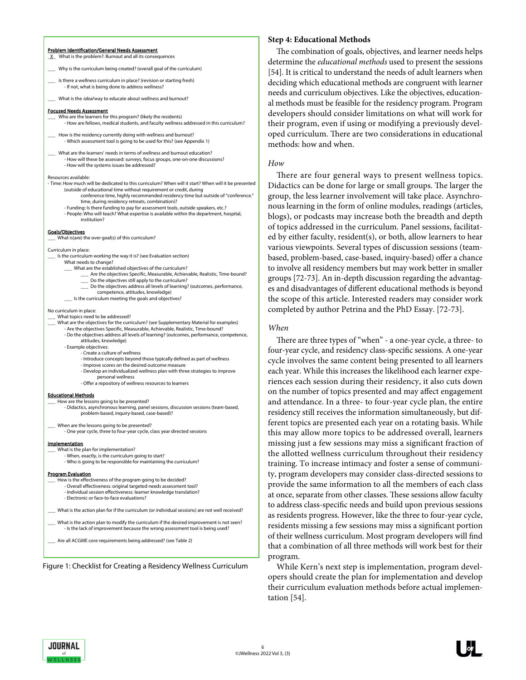#### Problem Identification/General Needs Assessment \_X\_ What is the problem?: Burnout and all its consequences

- Why is the curriculum being created? (overall goal of the curriculum)
- Is there a wellness curriculum in place? (revision or starting fresh) - If not, what is being done to address wellness?

What is the *ideal* way to educate about wellness and burnout?

#### Focused Needs Assessment

- Who are the learners for this program? (likely the residents) - How are fellows, medical students, and faculty wellness addressed in this curriculum?
- How is the residency currently doing with wellness and burnout? - Which assessment tool is going to be used for this? (see Appendix 1)
- What are the learners' needs in terms of wellness and burnout education? - How will these be assessed: surveys, focus groups, one-on-one discussions? - How will the systems issues be addressed?

#### Resources available:

- Time: How much will be dedicated to this curriculum? When will it start? When will it be presented (outside of educational time without requirement or credit, during conference time, highly recommended residency time but outside of "conference." time, during residency retreats, combination)?
	- Funding: Is there funding to pay for assessment tools, outside speakers, etc.? - People: Who will teach? What expertise is available within the department, hospital,
	- institution?

#### Goals/Objectives

What is(are) the over goal(s) of this curriculum?

- Curriculum in place:
- Is the curriculum working the way it is? (see Evaluation section)
- What needs to change?
	- What are the established objectives of the curriculum? \_\_\_ Are the objectives Specific, Measurable, Achievable, Realistic, Time-bound?
	- Do the objectives still apply to the curriculum?
		- Do the objectives address all levels of learning? (outcomes, performance,
	- competence, attitudes, knowledge)
	- \_\_\_ Is the curriculum meeting the goals and objectives?

#### No curriculum in place:

- What topics need to be addressed?
- What are the objectives for the curriculum? (see Supplementary Material for examples) - Are the objectives Specific, Measurable, Achievable, Realistic, Time-bound?
	- Do the objectives address all levels of learning? (outcomes, performance, competence, attitudes, knowledge)
	- Example objectives:
		- Create a culture of wellness
		- Introduce concepts beyond those typically defined as part of wellness
		- Improve scores on the desired outcome measure
		- Develop an individualized wellness plan with three strategies to improve personal wellness
		- Offer a repository of wellness resources to learners

#### Educational Methods

- \_\_\_ How are the lessons going to be presented? - Didactics, asynchronous learning, panel sessions, discussion sessions (team-based, problem-based, inquiry-based, case-based)?
- \_\_\_ When are the lessons going to be presented?
- One year cycle, three to four-year cycle, class year directed sessions

#### Implementation

- What is the plan for implementation?
	- When, exactly, is the curriculum going to start? - Who is going to be responsible for maintaining the curriculum?

#### Program Evaluation

- How is the effectiveness of the program going to be decided? - Overall effectiveness: original targeted needs assessment tool? - Individual session effectiveness: learner knowledge translation? - Electronic or face-to-face evaluations?
- What is the action plan for if the curriculum (or individual sessions) are not well received?
- What is the action plan to modify the curriculum if the desired improvement is not seen? - Is the lack of improvement because the wrong assessment tool is being used?
- \_\_\_ Are all ACGME core requirements being addressed? (see Table 2)

Figure 1: Checklist for Creating a Residency Wellness Curriculum

#### **Step 4: Educational Methods**

The combination of goals, objectives, and learner needs helps determine the *educational methods* used to present the sessions [54]. It is critical to understand the needs of adult learners when deciding which educational methods are congruent with learner needs and curriculum objectives. Like the objectives, educational methods must be feasible for the residency program. Program developers should consider limitations on what will work for their program, even if using or modifying a previously developed curriculum. There are two considerations in educational methods: how and when.

#### *How*

There are four general ways to present wellness topics. Didactics can be done for large or small groups. The larger the group, the less learner involvement will take place. Asynchronous learning in the form of online modules, readings (articles, blogs), or podcasts may increase both the breadth and depth of topics addressed in the curriculum. Panel sessions, facilitated by either faculty, resident(s), or both, allow learners to hear various viewpoints. Several types of discussion sessions (teambased, problem-based, case-based, inquiry-based) offer a chance to involve all residency members but may work better in smaller groups [72-73]. An in-depth discussion regarding the advantages and disadvantages of different educational methods is beyond the scope of this article. Interested readers may consider work completed by author Petrina and the PhD Essay. [72-73].

#### *When*

There are three types of "when" - a one-year cycle, a three- to four-year cycle, and residency class-specific sessions. A one-year cycle involves the same content being presented to all learners each year. While this increases the likelihood each learner experiences each session during their residency, it also cuts down on the number of topics presented and may affect engagement and attendance. In a three- to four-year cycle plan, the entire residency still receives the information simultaneously, but different topics are presented each year on a rotating basis. While this may allow more topics to be addressed overall, learners missing just a few sessions may miss a significant fraction of the allotted wellness curriculum throughout their residency training. To increase intimacy and foster a sense of community, program developers may consider class-directed sessions to provide the same information to all the members of each class at once, separate from other classes. These sessions allow faculty to address class-specific needs and build upon previous sessions as residents progress. However, like the three to four-year cycle, residents missing a few sessions may miss a significant portion of their wellness curriculum. Most program developers will find that a combination of all three methods will work best for their program.

While Kern's next step is implementation, program developers should create the plan for implementation and develop their curriculum evaluation methods before actual implementation [54].

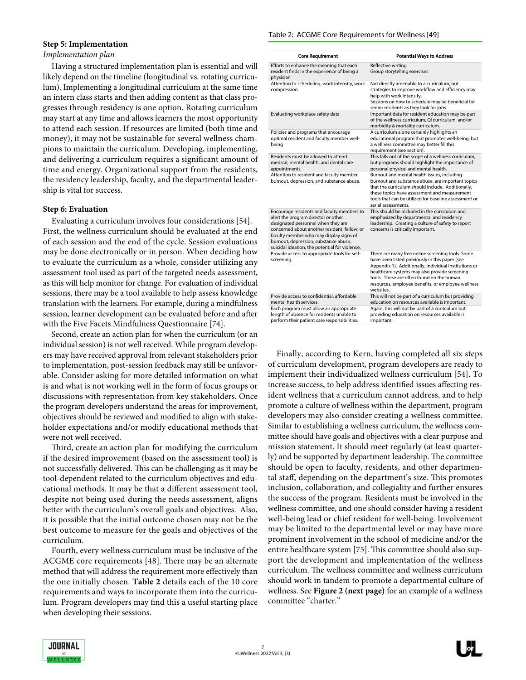#### Table 2: ACGME Core Requirements for Wellness [49]

## **Step 5: Implementation**

## *Implementation plan*

Having a structured implementation plan is essential and will likely depend on the timeline (longitudinal vs. rotating curriculum). Implementing a longitudinal curriculum at the same time an intern class starts and then adding content as that class progresses through residency is one option. Rotating curriculum may start at any time and allows learners the most opportunity to attend each session. If resources are limited (both time and money), it may not be sustainable for several wellness champions to maintain the curriculum. Developing, implementing, and delivering a curriculum requires a significant amount of time and energy. Organizational support from the residents, the residency leadership, faculty, and the departmental leadership is vital for success.

## **Step 6: Evaluation**

Evaluating a curriculum involves four considerations [54]. First, the wellness curriculum should be evaluated at the end of each session and the end of the cycle. Session evaluations may be done electronically or in person. When deciding how to evaluate the curriculum as a whole, consider utilizing any assessment tool used as part of the targeted needs assessment, as this will help monitor for change. For evaluation of individual sessions, there may be a tool available to help assess knowledge translation with the learners. For example, during a mindfulness session, learner development can be evaluated before and after with the Five Facets Mindfulness Questionnaire [74].

Second, create an action plan for when the curriculum (or an individual session) is not well received. While program developers may have received approval from relevant stakeholders prior to implementation, post-session feedback may still be unfavorable. Consider asking for more detailed information on what is and what is not working well in the form of focus groups or discussions with representation from key stakeholders. Once the program developers understand the areas for improvement, objectives should be reviewed and modified to align with stakeholder expectations and/or modify educational methods that were not well received.

Third, create an action plan for modifying the curriculum if the desired improvement (based on the assessment tool) is not successfully delivered. This can be challenging as it may be tool-dependent related to the curriculum objectives and educational methods. It may be that a different assessment tool, despite not being used during the needs assessment, aligns better with the curriculum's overall goals and objectives. Also, it is possible that the initial outcome chosen may not be the best outcome to measure for the goals and objectives of the curriculum.

Fourth, every wellness curriculum must be inclusive of the ACGME core requirements [48]. There may be an alternate method that will address the requirement more effectively than the one initially chosen. **Table 2** details each of the 10 core requirements and ways to incorporate them into the curriculum. Program developers may find this a useful starting place when developing their sessions.

| <b>Core Requirement</b>                                                                                                                                                                                                                                                                                       | <b>Potential Ways to Address</b>                                                                                                                                                                                                                                                                                             |
|---------------------------------------------------------------------------------------------------------------------------------------------------------------------------------------------------------------------------------------------------------------------------------------------------------------|------------------------------------------------------------------------------------------------------------------------------------------------------------------------------------------------------------------------------------------------------------------------------------------------------------------------------|
| Efforts to enhance the meaning that each<br>resident finds in the experience of being a<br>physician                                                                                                                                                                                                          | Reflective writing<br>Group storytelling exercises                                                                                                                                                                                                                                                                           |
| Attention to scheduling, work intensity, work<br>compression                                                                                                                                                                                                                                                  | Not directly amenable to a curriculum, but<br>strategies to improve workflow and efficiency may<br>help with work intensity.<br>Sessions on how to schedule may be beneficial for<br>senior residents as they look for jobs.                                                                                                 |
| Evaluating workplace safety data                                                                                                                                                                                                                                                                              | Important data for resident education may be part<br>of the wellness curriculum, QI curriculum, and/or<br>morbidity & mortality curriculum.                                                                                                                                                                                  |
| Policies and programs that encourage<br>optimal resident and faculty member well-<br>being                                                                                                                                                                                                                    | A curriculum alone certainly highlights an<br>educational program that promotes well-being, but<br>a wellness committee may better fill this<br>requirement (see section).                                                                                                                                                   |
| Residents must be allowed to attend<br>medical, mental health, and dental care<br>appointments.                                                                                                                                                                                                               | This falls out of the scope of a wellness curriculum,<br>but programs should highlight the importance of<br>personal physical and mental health.                                                                                                                                                                             |
| Attention to resident and faculty member<br>burnout, depression, and substance abuse.                                                                                                                                                                                                                         | Burnout and mental health issues, including<br>burnout and substance abuse, are important topics<br>that the curriculum should include. Additionally,<br>these topics have assessment and measurement<br>tools that can be utilized for baseline assessment or<br>serial assessments.                                        |
| Encourage residents and faculty members to<br>alert the program director or other<br>designated personnel when they are<br>concerned about another resident, fellow, or<br>faculty member who may display signs of<br>burnout, depression, substance abuse,<br>suicidal ideation, the potential for violence. | This should be included in the curriculum and<br>emphasized by departmental and residency<br>leadership. Creating a culture of safety to report<br>concerns is critically important.                                                                                                                                         |
| Provide access to appropriate tools for self-<br>screening.                                                                                                                                                                                                                                                   | There are many free online screening tools. Some<br>have been listed previously in this paper (see<br>Appendix 1). Additionally, individual institutions or<br>healthcare systems may also provide screening<br>tools. These are often found on the human<br>resources, employee benefits, or employee wellness<br>websites. |
| Provide access to confidential, affordable<br>mental health services.                                                                                                                                                                                                                                         | This will not be part of a curriculum but providing<br>education on resources available is important.                                                                                                                                                                                                                        |
| Each program must allow an appropriate<br>length of absence for residents unable to<br>perform their patient care responsibilities.                                                                                                                                                                           | Again, this will not be part of a curriculum but<br>providing education on resources available is<br>important.                                                                                                                                                                                                              |

Finally, according to Kern, having completed all six steps of curriculum development, program developers are ready to implement their individualized wellness curriculum [54]. To increase success, to help address identified issues affecting resident wellness that a curriculum cannot address, and to help promote a culture of wellness within the department, program developers may also consider creating a wellness committee. Similar to establishing a wellness curriculum, the wellness committee should have goals and objectives with a clear purpose and mission statement. It should meet regularly (at least quarterly) and be supported by department leadership. The committee should be open to faculty, residents, and other departmental staff, depending on the department's size. This promotes inclusion, collaboration, and collegiality and further ensures the success of the program. Residents must be involved in the wellness committee, and one should consider having a resident well-being lead or chief resident for well-being. Involvement may be limited to the departmental level or may have more prominent involvement in the school of medicine and/or the entire healthcare system [75]. This committee should also support the development and implementation of the wellness curriculum. The wellness committee and wellness curriculum should work in tandem to promote a departmental culture of wellness. See **Figure 2 (next page)** for an example of a wellness committee "charter."

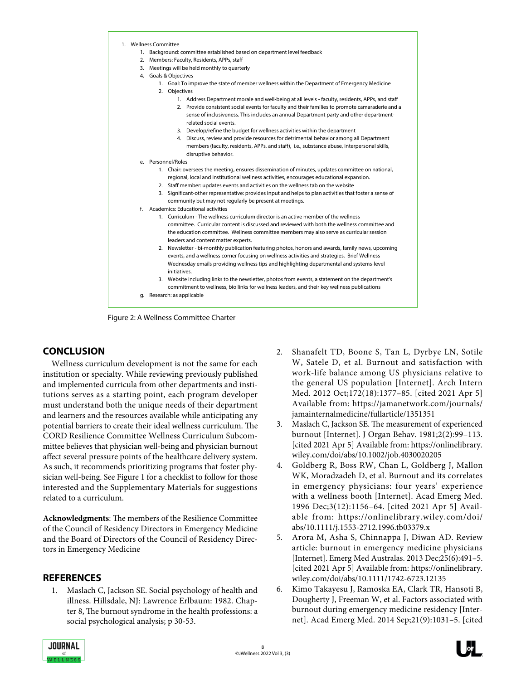|  | 1. Wellness Committee                                                                                                                                                                             |  |  |
|--|---------------------------------------------------------------------------------------------------------------------------------------------------------------------------------------------------|--|--|
|  | 1. Background: committee established based on department level feedback                                                                                                                           |  |  |
|  | 2. Members: Faculty, Residents, APPs, staff                                                                                                                                                       |  |  |
|  | 3. Meetings will be held monthly to quarterly                                                                                                                                                     |  |  |
|  | 4. Goals & Objectives                                                                                                                                                                             |  |  |
|  | 1. Goal: To improve the state of member wellness within the Department of Emergency Medicine<br>2. Objectives                                                                                     |  |  |
|  | 1. Address Department morale and well-being at all levels - faculty, residents, APPs, and staff                                                                                                   |  |  |
|  | 2. Provide consistent social events for faculty and their families to promote camaraderie and a                                                                                                   |  |  |
|  | sense of inclusiveness. This includes an annual Department party and other department-<br>related social events.                                                                                  |  |  |
|  | 3. Develop/refine the budget for wellness activities within the department                                                                                                                        |  |  |
|  | 4. Discuss, review and provide resources for detrimental behavior among all Department                                                                                                            |  |  |
|  | members (faculty, residents, APPs, and staff), i.e., substance abuse, interpersonal skills,                                                                                                       |  |  |
|  | disruptive behavior.                                                                                                                                                                              |  |  |
|  | e. Personnel/Roles                                                                                                                                                                                |  |  |
|  | 1. Chair: oversees the meeting, ensures dissemination of minutes, updates committee on national,                                                                                                  |  |  |
|  | regional, local and institutional wellness activities, encourages educational expansion.                                                                                                          |  |  |
|  | 2. Staff member: updates events and activities on the wellness tab on the website                                                                                                                 |  |  |
|  | 3. Significant-other representative: provides input and helps to plan activities that foster a sense of<br>community but may not regularly be present at meetings.                                |  |  |
|  | f. Academics: Educational activities                                                                                                                                                              |  |  |
|  | 1. Curriculum - The wellness curriculum director is an active member of the wellness                                                                                                              |  |  |
|  | committee. Curricular content is discussed and reviewed with both the wellness committee and                                                                                                      |  |  |
|  | the education committee. Wellness committee members may also serve as curricular session                                                                                                          |  |  |
|  | leaders and content matter experts.                                                                                                                                                               |  |  |
|  | 2. Newsletter - bi-monthly publication featuring photos, honors and awards, family news, upcoming<br>events, and a wellness corner focusing on wellness activities and strategies. Brief Wellness |  |  |
|  | Wednesday emails providing wellness tips and highlighting departmental and systems-level<br>initiatives.                                                                                          |  |  |
|  | 3. Website including links to the newsletter, photos from events, a statement on the department's                                                                                                 |  |  |
|  | commitment to wellness, bio links for wellness leaders, and their key wellness publications                                                                                                       |  |  |
|  |                                                                                                                                                                                                   |  |  |

Figure 2: A Wellness Committee Charter

## **CONCLUSION**

Wellness curriculum development is not the same for each institution or specialty. While reviewing previously published and implemented curricula from other departments and institutions serves as a starting point, each program developer must understand both the unique needs of their department and learners and the resources available while anticipating any potential barriers to create their ideal wellness curriculum. The CORD Resilience Committee Wellness Curriculum Subcommittee believes that physician well-being and physician burnout affect several pressure points of the healthcare delivery system. As such, it recommends prioritizing programs that foster physician well-being. See Figure 1 for a checklist to follow for those interested and the Supplementary Materials for suggestions related to a curriculum.

**Acknowledgments**: The members of the Resilience Committee of the Council of Residency Directors in Emergency Medicine and the Board of Directors of the Council of Residency Directors in Emergency Medicine

## **REFERENCES**

1. Maslach C, Jackson SE. Social psychology of health and illness. Hillsdale, NJ: Lawrence Erlbaum: 1982. Chapter 8, The burnout syndrome in the health professions: a social psychological analysis; p 30-53.

- 2. Shanafelt TD, Boone S, Tan L, Dyrbye LN, Sotile W, Satele D, et al. Burnout and satisfaction with work-life balance among US physicians relative to the general US population [Internet]. Arch Intern Med. 2012 Oct;172(18):1377–85. [cited 2021 Apr 5] Available from: https://jamanetwork.com/journals/ jamainternalmedicine/fullarticle/1351351
- 3. Maslach C, Jackson SE. The measurement of experienced burnout [Internet]. J Organ Behav. 1981;2(2):99–113. [cited 2021 Apr 5] Available from: https://onlinelibrary. wiley.com/doi/abs/10.1002/job.4030020205
- 4. Goldberg R, Boss RW, Chan L, Goldberg J, Mallon WK, Moradzadeh D, et al. Burnout and its correlates in emergency physicians: four years' experience with a wellness booth [Internet]. Acad Emerg Med. 1996 Dec;3(12):1156–64. [cited 2021 Apr 5] Available from: https://onlinelibrary.wiley.com/doi/ abs/10.1111/j.1553-2712.1996.tb03379.x
- 5. Arora M, Asha S, Chinnappa J, Diwan AD. Review article: burnout in emergency medicine physicians [Internet]. Emerg Med Australas. 2013 Dec;25(6):491–5. [cited 2021 Apr 5] Available from: https://onlinelibrary. wiley.com/doi/abs/10.1111/1742-6723.12135
- 6. Kimo Takayesu J, Ramoska EA, Clark TR, Hansoti B, Dougherty J, Freeman W, et al. Factors associated with burnout during emergency medicine residency [Internet]. Acad Emerg Med. 2014 Sep;21(9):1031–5. [cited

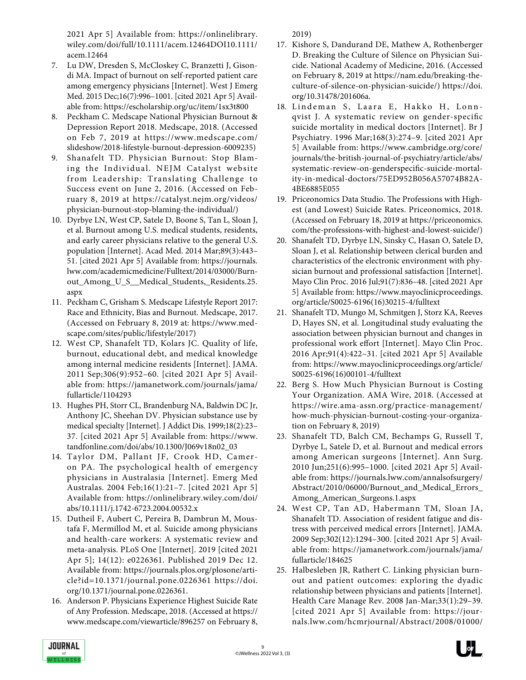2021 Apr 5] Available from: https://onlinelibrary. wiley.com/doi/full/10.1111/acem.12464DOI10.1111/ acem.12464

- 7. Lu DW, Dresden S, McCloskey C, Branzetti J, Gisondi MA. Impact of burnout on self-reported patient care among emergency physicians [Internet]. West J Emerg Med. 2015 Dec;16(7):996–1001. [cited 2021 Apr 5] Available from: https://escholarship.org/uc/item/1sx3t800
- 8. Peckham C. Medscape National Physician Burnout & Depression Report 2018. Medscape, 2018. (Accessed on Feb 7, 2019 at https://www.medscape.com/ slideshow/2018-lifestyle-burnout-depression-6009235)
- 9. Shanafelt TD. Physician Burnout: Stop Blaming the Individual. NEJM Catalyst website from Leadership: Translating Challenge to Success event on June 2, 2016. (Accessed on February 8, 2019 at https://catalyst.nejm.org/videos/ physician-burnout-stop-blaming-the-individual/)
- 10. Dyrbye LN, West CP, Satele D, Boone S, Tan L, Sloan J, et al. Burnout among U.S. medical students, residents, and early career physicians relative to the general U.S. population [Internet]. Acad Med. 2014 Mar;89(3):443– 51. [cited 2021 Apr 5] Available from: https://journals. lww.com/academicmedicine/Fulltext/2014/03000/Burnout\_Among\_U\_S\_\_Medical\_Students,\_Residents.25. aspx
- 11. Peckham C, Grisham S. Medscape Lifestyle Report 2017: Race and Ethnicity, Bias and Burnout. Medscape, 2017. (Accessed on February 8, 2019 at: https://www.medscape.com/sites/public/lifestyle/2017)
- 12. West CP, Shanafelt TD, Kolars JC. Quality of life, burnout, educational debt, and medical knowledge among internal medicine residents [Internet]. JAMA. 2011 Sep;306(9):952–60. [cited 2021 Apr 5] Available from: https://jamanetwork.com/journals/jama/ fullarticle/1104293
- 13. Hughes PH, Storr CL, Brandenburg NA, Baldwin DC Jr, Anthony JC, Sheehan DV. Physician substance use by medical specialty [Internet]. J Addict Dis. 1999;18(2):23– 37. [cited 2021 Apr 5] Available from: https://www. tandfonline.com/doi/abs/10.1300/J069v18n02\_03
- 14. Taylor DM, Pallant JF, Crook HD, Cameron PA. The psychological health of emergency physicians in Australasia [Internet]. Emerg Med Australas. 2004 Feb;16(1):21–7. [cited 2021 Apr 5] Available from: https://onlinelibrary.wiley.com/doi/ abs/10.1111/j.1742-6723.2004.00532.x
- 15. Dutheil F, Aubert C, Pereira B, Dambrun M, Moustafa F, Mermillod M, et al. Suicide among physicians and health-care workers: A systematic review and meta-analysis. PLoS One [Internet]. 2019 [cited 2021 Apr 5]; 14(12): e0226361. Published 2019 Dec 12. Available from: https://journals.plos.org/plosone/article?id=10.1371/journal.pone.0226361 https://doi. org/10.1371/journal.pone.0226361.
- 16. Anderson P. Physicians Experience Highest Suicide Rate of Any Profession. Medscape, 2018. (Accessed at https:// www.medscape.com/viewarticle/896257 on February 8,

2019)

- 17. Kishore S, Dandurand DE, Mathew A, Rothenberger D. Breaking the Culture of Silence on Physician Suicide. National Academy of Medicine, 2016. (Accessed on February 8, 2019 at https://nam.edu/breaking-theculture-of-silence-on-physician-suicide/) https://doi. org/10.31478/201606a.
- 18. Lindeman S, Laara E, Hakko H, Lonnqvist J. A systematic review on gender-specific suicide mortality in medical doctors [Internet]. Br J Psychiatry. 1996 Mar;168(3):274–9. [cited 2021 Apr 5] Available from: https://www.cambridge.org/core/ journals/the-british-journal-of-psychiatry/article/abs/ systematic-review-on-genderspecific-suicide-mortality-in-medical-doctors/75ED952B056A57074B82A-4BE6885E055
- 19. Priceonomics Data Studio. The Professions with Highest (and Lowest) Suicide Rates. Priceonomics, 2018. (Accessed on February 18, 2019 at https://priceonomics. com/the-professions-with-highest-and-lowest-suicide/)
- 20. Shanafelt TD, Dyrbye LN, Sinsky C, Hasan O, Satele D, Sloan J, et al. Relationship between clerical burden and characteristics of the electronic environment with physician burnout and professional satisfaction [Internet]. Mayo Clin Proc. 2016 Jul;91(7):836–48. [cited 2021 Apr 5] Available from: https://www.mayoclinicproceedings. org/article/S0025-6196(16)30215-4/fulltext
- 21. Shanafelt TD, Mungo M, Schmitgen J, Storz KA, Reeves D, Hayes SN, et al. Longitudinal study evaluating the association between physician burnout and changes in professional work effort [Internet]. Mayo Clin Proc. 2016 Apr;91(4):422–31. [cited 2021 Apr 5] Available from: https://www.mayoclinicproceedings.org/article/ S0025-6196(16)00101-4/fulltext
- 22. Berg S. How Much Physician Burnout is Costing Your Organization. AMA Wire, 2018. (Accessed at https://wire.ama-assn.org/practice-management/ how-much-physician-burnout-costing-your-organization on February 8, 2019)
- 23. Shanafelt TD, Balch CM, Bechamps G, Russell T, Dyrbye L, Satele D, et al. Burnout and medical errors among American surgeons [Internet]. Ann Surg. 2010 Jun;251(6):995–1000. [cited 2021 Apr 5] Available from: https://journals.lww.com/annalsofsurgery/ Abstract/2010/06000/Burnout\_and\_Medical\_Errors\_ Among\_American\_Surgeons.1.aspx
- 24. West CP, Tan AD, Habermann TM, Sloan JA, Shanafelt TD. Association of resident fatigue and distress with perceived medical errors [Internet]. JAMA. 2009 Sep;302(12):1294–300. [cited 2021 Apr 5] Available from: https://jamanetwork.com/journals/jama/ fullarticle/184625
- 25. Halbesleben JR, Rathert C. Linking physician burnout and patient outcomes: exploring the dyadic relationship between physicians and patients [Internet]. Health Care Manage Rev. 2008 Jan-Mar;33(1):29–39. [cited 2021 Apr 5] Available from: https://journals.lww.com/hcmrjournal/Abstract/2008/01000/

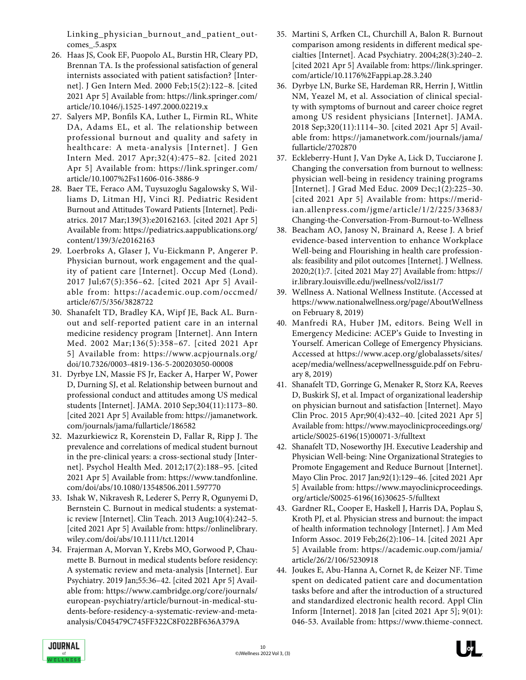Linking\_physician\_burnout\_and\_patient\_outcomes\_.5.aspx

- 26. Haas JS, Cook EF, Puopolo AL, Burstin HR, Cleary PD, Brennan TA. Is the professional satisfaction of general internists associated with patient satisfaction? [Internet]. J Gen Intern Med. 2000 Feb;15(2):122–8. [cited 2021 Apr 5] Available from: https://link.springer.com/ article/10.1046/j.1525-1497.2000.02219.x
- 27. Salyers MP, Bonfils KA, Luther L, Firmin RL, White DA, Adams EL, et al. The relationship between professional burnout and quality and safety in healthcare: A meta-analysis [Internet]. J Gen Intern Med. 2017 Apr;32(4):475–82. [cited 2021 Apr 5] Available from: https://link.springer.com/ article/10.1007%2Fs11606-016-3886-9
- 28. Baer TE, Feraco AM, Tuysuzoglu Sagalowsky S, Williams D, Litman HJ, Vinci RJ. Pediatric Resident Burnout and Attitudes Toward Patients [Internet]. Pediatrics. 2017 Mar;139(3):e20162163. [cited 2021 Apr 5] Available from: https://pediatrics.aappublications.org/ content/139/3/e20162163
- 29. Loerbroks A, Glaser J, Vu-Eickmann P, Angerer P. Physician burnout, work engagement and the quality of patient care [Internet]. Occup Med (Lond). 2017 Jul;67(5):356–62. [cited 2021 Apr 5] Available from: https://academic.oup.com/occmed/ article/67/5/356/3828722
- 30. Shanafelt TD, Bradley KA, Wipf JE, Back AL. Burnout and self-reported patient care in an internal medicine residency program [Internet]. Ann Intern Med. 2002 Mar;136(5):358–67. [cited 2021 Apr 5] Available from: https://www.acpjournals.org/ doi/10.7326/0003-4819-136-5-200203050-00008
- 31. Dyrbye LN, Massie FS Jr, Eacker A, Harper W, Power D, Durning SJ, et al. Relationship between burnout and professional conduct and attitudes among US medical students [Internet]. JAMA. 2010 Sep;304(11):1173–80. [cited 2021 Apr 5] Available from: https://jamanetwork. com/journals/jama/fullarticle/186582
- 32. Mazurkiewicz R, Korenstein D, Fallar R, Ripp J. The prevalence and correlations of medical student burnout in the pre-clinical years: a cross-sectional study [Internet]. Psychol Health Med. 2012;17(2):188–95. [cited 2021 Apr 5] Available from: https://www.tandfonline. com/doi/abs/10.1080/13548506.2011.597770
- 33. Ishak W, Nikravesh R, Lederer S, Perry R, Ogunyemi D, Bernstein C. Burnout in medical students: a systematic review [Internet]. Clin Teach. 2013 Aug;10(4):242–5. [cited 2021 Apr 5] Available from: https://onlinelibrary. wiley.com/doi/abs/10.1111/tct.12014
- 34. Frajerman A, Morvan Y, Krebs MO, Gorwood P, Chaumette B. Burnout in medical students before residency: A systematic review and meta-analysis [Internet]. Eur Psychiatry. 2019 Jan;55:36–42. [cited 2021 Apr 5] Available from: https://www.cambridge.org/core/journals/ european-psychiatry/article/burnout-in-medical-students-before-residency-a-systematic-review-and-metaanalysis/C045479C745FF322C8F022BF636A379A
- 35. Martini S, Arfken CL, Churchill A, Balon R. Burnout comparison among residents in different medical specialties [Internet]. Acad Psychiatry. 2004;28(3):240–2. [cited 2021 Apr 5] Available from: https://link.springer. com/article/10.1176%2Fappi.ap.28.3.240
- 36. Dyrbye LN, Burke SE, Hardeman RR, Herrin J, Wittlin NM, Yeazel M, et al. Association of clinical specialty with symptoms of burnout and career choice regret among US resident physicians [Internet]. JAMA. 2018 Sep;320(11):1114–30. [cited 2021 Apr 5] Available from: https://jamanetwork.com/journals/jama/ fullarticle/2702870
- 37. Eckleberry-Hunt J, Van Dyke A, Lick D, Tucciarone J. Changing the conversation from burnout to wellness: physician well-being in residency training programs [Internet]. J Grad Med Educ. 2009 Dec;1(2):225–30. [cited 2021 Apr 5] Available from: https://meridian.allenpress.com/jgme/article/1/2/225/33683/ Changing-the-Conversation-From-Burnout-to-Wellness
- 38. Beacham AO, Janosy N, Brainard A, Reese J. A brief evidence-based intervention to enhance Workplace Well-being and Flourishing in health care professionals: feasibility and pilot outcomes [Internet]. J Wellness. 2020;2(1):7. [cited 2021 May 27] Available from: https:// ir.library.louisville.edu/jwellness/vol2/iss1/7
- 39. Wellness A. National Wellness Institute. (Accessed at https://www.nationalwellness.org/page/AboutWellness on February 8, 2019)
- 40. Manfredi RA, Huber JM, editors. Being Well in Emergency Medicine: ACEP's Guide to Investing in Yourself. American College of Emergency Physicians. Accessed at https://www.acep.org/globalassets/sites/ acep/media/wellness/acepwellnessguide.pdf on February 8, 2019)
- 41. Shanafelt TD, Gorringe G, Menaker R, Storz KA, Reeves D, Buskirk SJ, et al. Impact of organizational leadership on physician burnout and satisfaction [Internet]. Mayo Clin Proc. 2015 Apr;90(4):432–40. [cited 2021 Apr 5] Available from: https://www.mayoclinicproceedings.org/ article/S0025-6196(15)00071-3/fulltext
- 42. Shanafelt TD, Noseworthy JH. Executive Leadership and Physician Well-being: Nine Organizational Strategies to Promote Engagement and Reduce Burnout [Internet]. Mayo Clin Proc. 2017 Jan;92(1):129–46. [cited 2021 Apr 5] Available from: https://www.mayoclinicproceedings. org/article/S0025-6196(16)30625-5/fulltext
- 43. Gardner RL, Cooper E, Haskell J, Harris DA, Poplau S, Kroth PJ, et al. Physician stress and burnout: the impact of health information technology [Internet]. J Am Med Inform Assoc. 2019 Feb;26(2):106–14. [cited 2021 Apr 5] Available from: https://academic.oup.com/jamia/ article/26/2/106/5230918
- 44. Joukes E, Abu-Hanna A, Cornet R, de Keizer NF. Time spent on dedicated patient care and documentation tasks before and after the introduction of a structured and standardized electronic health record. Appl Clin Inform [Internet]. 2018 Jan [cited 2021 Apr 5]; 9(01): 046-53. Available from: https://www.thieme-connect.

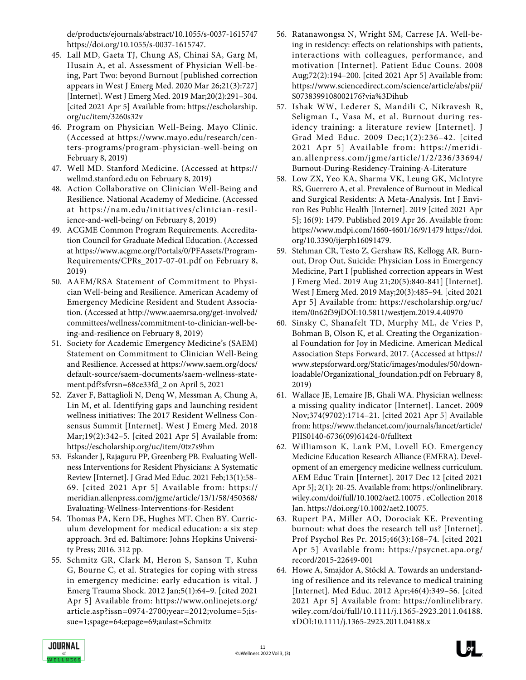de/products/ejournals/abstract/10.1055/s-0037-1615747 https://doi.org/10.1055/s-0037-1615747.

- 45. Lall MD, Gaeta TJ, Chung AS, Chinai SA, Garg M, Husain A, et al. Assessment of Physician Well-being, Part Two: beyond Burnout [published correction appears in West J Emerg Med. 2020 Mar 26;21(3):727] [Internet]. West J Emerg Med. 2019 Mar;20(2):291–304. [cited 2021 Apr 5] Available from: https://escholarship. org/uc/item/3260s32v
- 46. Program on Physician Well-Being. Mayo Clinic. (Accessed at https://www.mayo.edu/research/centers-programs/program-physician-well-being on February 8, 2019)
- 47. Well MD. Stanford Medicine. (Accessed at https:// wellmd.stanford.edu on February 8, 2019)
- 48. Action Collaborative on Clinician Well-Being and Resilience. National Academy of Medicine. (Accessed at https://nam.edu/initiatives/clinician-resilience-and-well-being/ on February 8, 2019)
- 49. ACGME Common Program Requirements. Accreditation Council for Graduate Medical Education. (Accessed at https://www.acgme.org/Portals/0/PFAssets/Program-Requirements/CPRs\_2017-07-01.pdf on February 8, 2019)
- 50. AAEM/RSA Statement of Commitment to Physician Well-being and Resilience. American Academy of Emergency Medicine Resident and Student Association. (Accessed at http://www.aaemrsa.org/get-involved/ committees/wellness/commitment-to-clinician-well-being-and-resilience on February 8, 2019)
- 51. Society for Academic Emergency Medicine's (SAEM) Statement on Commitment to Clinician Well-Being and Resilience. Accessed at https://www.saem.org/docs/ default-source/saem-documents/saem-wellness-statement.pdf?sfvrsn=68ce33fd\_2 on April 5, 2021
- 52. Zaver F, Battaglioli N, Denq W, Messman A, Chung A, Lin M, et al. Identifying gaps and launching resident wellness initiatives: The 2017 Resident Wellness Consensus Summit [Internet]. West J Emerg Med. 2018 Mar;19(2):342–5. [cited 2021 Apr 5] Available from: https://escholarship.org/uc/item/0tz7s9hm
- 53. Eskander J, Rajaguru PP, Greenberg PB. Evaluating Wellness Interventions for Resident Physicians: A Systematic Review [Internet]. J Grad Med Educ. 2021 Feb;13(1):58– 69. [cited 2021 Apr 5] Available from: https:// meridian.allenpress.com/jgme/article/13/1/58/450368/ Evaluating-Wellness-Interventions-for-Resident
- 54. Thomas PA, Kern DE, Hughes MT, Chen BY. Curriculum development for medical education: a six step approach. 3rd ed. Baltimore: Johns Hopkins University Press; 2016. 312 pp.
- 55. Schmitz GR, Clark M, Heron S, Sanson T, Kuhn G, Bourne C, et al. Strategies for coping with stress in emergency medicine: early education is vital. J Emerg Trauma Shock. 2012 Jan;5(1):64–9. [cited 2021 Apr 5] Available from: https://www.onlinejets.org/ article.asp?issn=0974-2700;year=2012;volume=5;issue=1;spage=64;epage=69;aulast=Schmitz
- 56. Ratanawongsa N, Wright SM, Carrese JA. Well-being in residency: effects on relationships with patients, interactions with colleagues, performance, and motivation [Internet]. Patient Educ Couns. 2008 Aug;72(2):194–200. [cited 2021 Apr 5] Available from: https://www.sciencedirect.com/science/article/abs/pii/ S0738399108002176?via%3Dihub
- 57. Ishak WW, Lederer S, Mandili C, Nikravesh R, Seligman L, Vasa M, et al. Burnout during residency training: a literature review [Internet]. J Grad Med Educ. 2009 Dec;1(2):236–42. [cited 2021 Apr 5] Available from: https://meridian.allenpress.com/jgme/article/1/2/236/33694/ Burnout-During-Residency-Training-A-Literature
- 58. Low ZX, Yeo KA, Sharma VK, Leung GK, McIntyre RS, Guerrero A, et al. Prevalence of Burnout in Medical and Surgical Residents: A Meta-Analysis. Int J Environ Res Public Health [Internet]. 2019 [cited 2021 Apr 5]; 16(9): 1479. Published 2019 Apr 26. Available from: https://www.mdpi.com/1660-4601/16/9/1479 https://doi. org/10.3390/ijerph16091479.
- 59. Stehman CR, Testo Z, Gershaw RS, Kellogg AR. Burnout, Drop Out, Suicide: Physician Loss in Emergency Medicine, Part I [published correction appears in West J Emerg Med. 2019 Aug 21;20(5):840-841] [Internet]. West J Emerg Med. 2019 May;20(3):485–94. [cited 2021 Apr 5] Available from: https://escholarship.org/uc/ item/0n62f39jDOI:10.5811/westjem.2019.4.40970
- 60. Sinsky C, Shanafelt TD, Murphy ML, de Vries P, Bohman B, Olson K, et al. Creating the Organizational Foundation for Joy in Medicine. American Medical Association Steps Forward, 2017. (Accessed at https:// www.stepsforward.org/Static/images/modules/50/downloadable/Organizational\_foundation.pdf on February 8, 2019)
- 61. Wallace JE, Lemaire JB, Ghali WA. Physician wellness: a missing quality indicator [Internet]. Lancet. 2009 Nov;374(9702):1714–21. [cited 2021 Apr 5] Available from: https://www.thelancet.com/journals/lancet/article/ PIIS0140-6736(09)61424-0/fulltext
- 62. Williamson K, Lank PM, Lovell EO. Emergency Medicine Education Research Alliance (EMERA). Development of an emergency medicine wellness curriculum. AEM Educ Train [Internet]. 2017 Dec 12 [cited 2021 Apr 5]; 2(1): 20-25. Available from: https://onlinelibrary. wiley.com/doi/full/10.1002/aet2.10075 . eCollection 2018 Jan. https://doi.org/10.1002/aet2.10075.
- 63. Rupert PA, Miller AO, Dorociak KE. Preventing burnout: what does the research tell us? [Internet]. Prof Psychol Res Pr. 2015;46(3):168–74. [cited 2021 Apr 5] Available from: https://psycnet.apa.org/ record/2015-22649-001
- 64. Howe A, Smajdor A, Stöckl A. Towards an understanding of resilience and its relevance to medical training [Internet]. Med Educ. 2012 Apr;46(4):349–56. [cited 2021 Apr 5] Available from: https://onlinelibrary. wiley.com/doi/full/10.1111/j.1365-2923.2011.04188. xDOI:10.1111/j.1365-2923.2011.04188.x